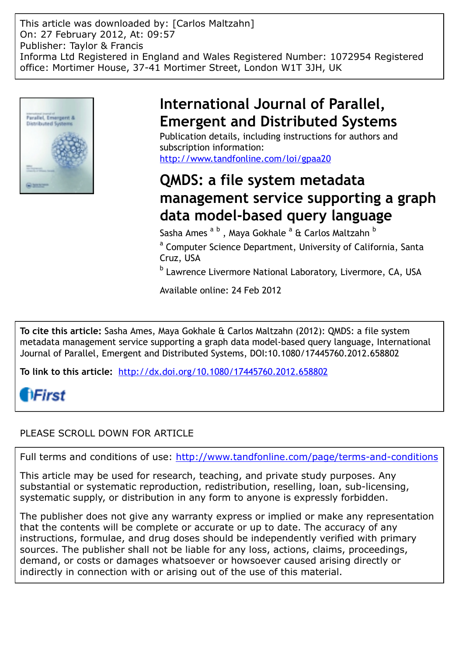This article was downloaded by: [Carlos Maltzahn] On: 27 February 2012, At: 09:57 Publisher: Taylor & Francis Informa Ltd Registered in England and Wales Registered Number: 1072954 Registered office: Mortimer House, 37-41 Mortimer Street, London W1T 3JH, UK



## **International Journal of Parallel, Emergent and Distributed Systems**

Publication details, including instructions for authors and subscription information: <http://www.tandfonline.com/loi/gpaa20>

**QMDS: a file system metadata management service supporting a graph**

# **data model-based query language**

Sasha Ames <sup>a b</sup> , Maya Gokhale <sup>a</sup> & Carlos Maltzahn <sup>b</sup> <sup>a</sup> Computer Science Department, University of California, Santa Cruz, USA

<sup>b</sup> Lawrence Livermore National Laboratory, Livermore, CA, USA

Available online: 24 Feb 2012

**To cite this article:** Sasha Ames, Maya Gokhale & Carlos Maltzahn (2012): QMDS: a file system metadata management service supporting a graph data model-based query language, International Journal of Parallel, Emergent and Distributed Systems, DOI:10.1080/17445760.2012.658802

**To link to this article:** <http://dx.doi.org/10.1080/17445760.2012.658802>

# **f**iFirst

## PLEASE SCROLL DOWN FOR ARTICLE

Full terms and conditions of use:<http://www.tandfonline.com/page/terms-and-conditions>

This article may be used for research, teaching, and private study purposes. Any substantial or systematic reproduction, redistribution, reselling, loan, sub-licensing, systematic supply, or distribution in any form to anyone is expressly forbidden.

The publisher does not give any warranty express or implied or make any representation that the contents will be complete or accurate or up to date. The accuracy of any instructions, formulae, and drug doses should be independently verified with primary sources. The publisher shall not be liable for any loss, actions, claims, proceedings, demand, or costs or damages whatsoever or howsoever caused arising directly or indirectly in connection with or arising out of the use of this material.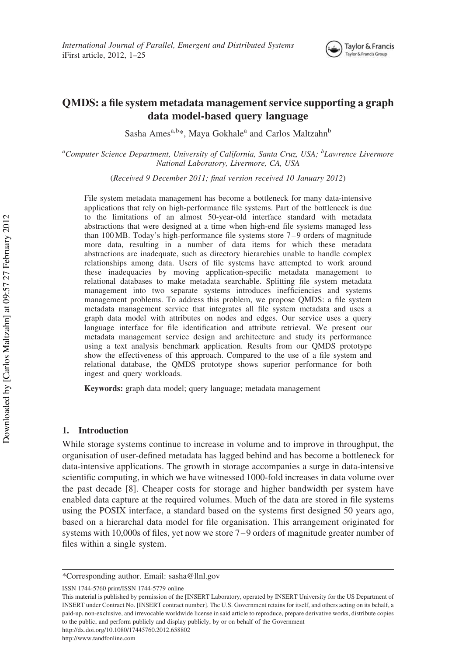

### QMDS: a file system metadata management service supporting a graph data model-based query language

Sasha Ames<sup>a,b\*</sup>, Maya Gokhale<sup>a</sup> and Carlos Maltzahn<sup>b</sup>

<sup>a</sup>Computer Science Department, University of California, Santa Cruz, USA; <sup>b</sup>Lawrence Livermore National Laboratory, Livermore, CA, USA

(Received 9 December 2011; final version received 10 January 2012)

File system metadata management has become a bottleneck for many data-intensive applications that rely on high-performance file systems. Part of the bottleneck is due to the limitations of an almost 50-year-old interface standard with metadata abstractions that were designed at a time when high-end file systems managed less than 100 MB. Today's high-performance file systems store 7 – 9 orders of magnitude more data, resulting in a number of data items for which these metadata abstractions are inadequate, such as directory hierarchies unable to handle complex relationships among data. Users of file systems have attempted to work around these inadequacies by moving application-specific metadata management to relational databases to make metadata searchable. Splitting file system metadata management into two separate systems introduces inefficiencies and systems management problems. To address this problem, we propose QMDS: a file system metadata management service that integrates all file system metadata and uses a graph data model with attributes on nodes and edges. Our service uses a query language interface for file identification and attribute retrieval. We present our metadata management service design and architecture and study its performance using a text analysis benchmark application. Results from our QMDS prototype show the effectiveness of this approach. Compared to the use of a file system and relational database, the QMDS prototype shows superior performance for both ingest and query workloads.

Keywords: graph data model; query language; metadata management

#### 1. Introduction

While storage systems continue to increase in volume and to improve in throughput, the organisation of user-defined metadata has lagged behind and has become a bottleneck for data-intensive applications. The growth in storage accompanies a surge in data-intensive scientific computing, in which we have witnessed 1000-fold increases in data volume over the past decade [8]. Cheaper costs for storage and higher bandwidth per system have enabled data capture at the required volumes. Much of the data are stored in file systems using the POSIX interface, a standard based on the systems first designed 50 years ago, based on a hierarchal data model for file organisation. This arrangement originated for systems with 10,000s of files, yet now we store 7– 9 orders of magnitude greater number of files within a single system.

<http://dx.doi.org/10.1080/17445760.2012.658802>

<http://www.tandfonline.com>

<sup>\*</sup>Corresponding author. Email: sasha@llnl.gov

ISSN 1744-5760 print/ISSN 1744-5779 online

This material is published by permission of the [INSERT Laboratory, operated by INSERT University for the US Department of INSERT under Contract No. [INSERT contract number]. The U.S. Government retains for itself, and others acting on its behalf, a paid-up, non-exclusive, and irrevocable worldwide license in said article to reproduce, prepare derivative works, distribute copies to the public, and perform publicly and display publicly, by or on behalf of the Government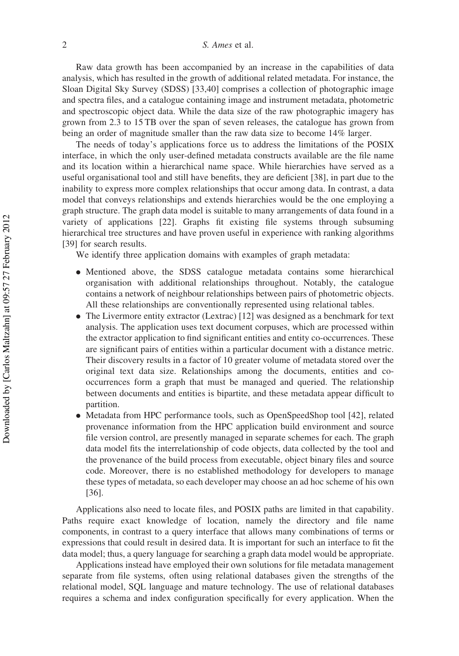#### 2 S. Ames et al.

Raw data growth has been accompanied by an increase in the capabilities of data analysis, which has resulted in the growth of additional related metadata. For instance, the Sloan Digital Sky Survey (SDSS) [33,40] comprises a collection of photographic image and spectra files, and a catalogue containing image and instrument metadata, photometric and spectroscopic object data. While the data size of the raw photographic imagery has grown from 2.3 to 15 TB over the span of seven releases, the catalogue has grown from being an order of magnitude smaller than the raw data size to become 14% larger.

The needs of today's applications force us to address the limitations of the POSIX interface, in which the only user-defined metadata constructs available are the file name and its location within a hierarchical name space. While hierarchies have served as a useful organisational tool and still have benefits, they are deficient [38], in part due to the inability to express more complex relationships that occur among data. In contrast, a data model that conveys relationships and extends hierarchies would be the one employing a graph structure. The graph data model is suitable to many arrangements of data found in a variety of applications [22]. Graphs fit existing file systems through subsuming hierarchical tree structures and have proven useful in experience with ranking algorithms [39] for search results.

We identify three application domains with examples of graph metadata:

- . Mentioned above, the SDSS catalogue metadata contains some hierarchical organisation with additional relationships throughout. Notably, the catalogue contains a network of neighbour relationships between pairs of photometric objects. All these relationships are conventionally represented using relational tables.
- $\bullet$  The Livermore entity extractor (Lextrac) [12] was designed as a benchmark for text analysis. The application uses text document corpuses, which are processed within the extractor application to find significant entities and entity co-occurrences. These are significant pairs of entities within a particular document with a distance metric. Their discovery results in a factor of 10 greater volume of metadata stored over the original text data size. Relationships among the documents, entities and cooccurrences form a graph that must be managed and queried. The relationship between documents and entities is bipartite, and these metadata appear difficult to partition.
- . Metadata from HPC performance tools, such as OpenSpeedShop tool [42], related provenance information from the HPC application build environment and source file version control, are presently managed in separate schemes for each. The graph data model fits the interrelationship of code objects, data collected by the tool and the provenance of the build process from executable, object binary files and source code. Moreover, there is no established methodology for developers to manage these types of metadata, so each developer may choose an ad hoc scheme of his own [36].

Applications also need to locate files, and POSIX paths are limited in that capability. Paths require exact knowledge of location, namely the directory and file name components, in contrast to a query interface that allows many combinations of terms or expressions that could result in desired data. It is important for such an interface to fit the data model; thus, a query language for searching a graph data model would be appropriate.

Applications instead have employed their own solutions for file metadata management separate from file systems, often using relational databases given the strengths of the relational model, SQL language and mature technology. The use of relational databases requires a schema and index configuration specifically for every application. When the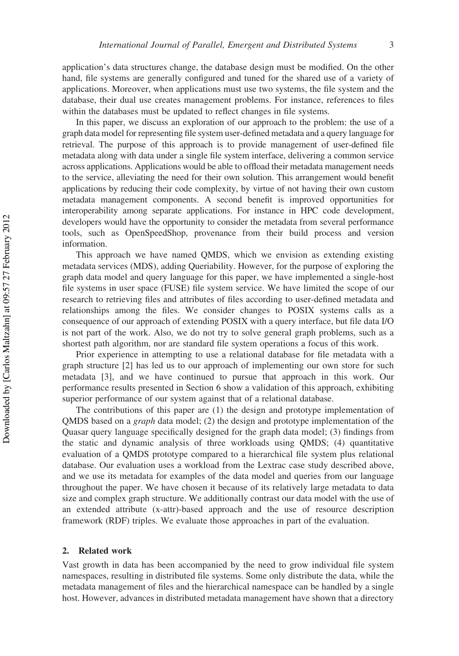application's data structures change, the database design must be modified. On the other hand, file systems are generally configured and tuned for the shared use of a variety of applications. Moreover, when applications must use two systems, the file system and the database, their dual use creates management problems. For instance, references to files within the databases must be updated to reflect changes in file systems.

In this paper, we discuss an exploration of our approach to the problem: the use of a graph data model for representing file system user-defined metadata and a query language for retrieval. The purpose of this approach is to provide management of user-defined file metadata along with data under a single file system interface, delivering a common service across applications. Applications would be able to offload their metadata management needs to the service, alleviating the need for their own solution. This arrangement would benefit applications by reducing their code complexity, by virtue of not having their own custom metadata management components. A second benefit is improved opportunities for interoperability among separate applications. For instance in HPC code development, developers would have the opportunity to consider the metadata from several performance tools, such as OpenSpeedShop, provenance from their build process and version information.

This approach we have named QMDS, which we envision as extending existing metadata services (MDS), adding Queriability. However, for the purpose of exploring the graph data model and query language for this paper, we have implemented a single-host file systems in user space (FUSE) file system service. We have limited the scope of our research to retrieving files and attributes of files according to user-defined metadata and relationships among the files. We consider changes to POSIX systems calls as a consequence of our approach of extending POSIX with a query interface, but file data I/O is not part of the work. Also, we do not try to solve general graph problems, such as a shortest path algorithm, nor are standard file system operations a focus of this work.

Prior experience in attempting to use a relational database for file metadata with a graph structure [2] has led us to our approach of implementing our own store for such metadata [3], and we have continued to pursue that approach in this work. Our performance results presented in Section 6 show a validation of this approach, exhibiting superior performance of our system against that of a relational database.

The contributions of this paper are (1) the design and prototype implementation of QMDS based on a graph data model; (2) the design and prototype implementation of the Quasar query language specifically designed for the graph data model; (3) findings from the static and dynamic analysis of three workloads using QMDS; (4) quantitative evaluation of a QMDS prototype compared to a hierarchical file system plus relational database. Our evaluation uses a workload from the Lextrac case study described above, and we use its metadata for examples of the data model and queries from our language throughout the paper. We have chosen it because of its relatively large metadata to data size and complex graph structure. We additionally contrast our data model with the use of an extended attribute (x-attr)-based approach and the use of resource description framework (RDF) triples. We evaluate those approaches in part of the evaluation.

#### 2. Related work

Vast growth in data has been accompanied by the need to grow individual file system namespaces, resulting in distributed file systems. Some only distribute the data, while the metadata management of files and the hierarchical namespace can be handled by a single host. However, advances in distributed metadata management have shown that a directory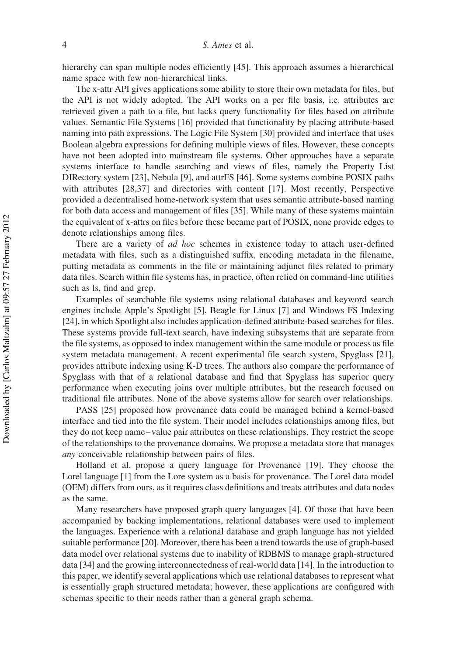hierarchy can span multiple nodes efficiently [45]. This approach assumes a hierarchical name space with few non-hierarchical links.

The x-attr API gives applications some ability to store their own metadata for files, but the API is not widely adopted. The API works on a per file basis, i.e. attributes are retrieved given a path to a file, but lacks query functionality for files based on attribute values. Semantic File Systems [16] provided that functionality by placing attribute-based naming into path expressions. The Logic File System [30] provided and interface that uses Boolean algebra expressions for defining multiple views of files. However, these concepts have not been adopted into mainstream file systems. Other approaches have a separate systems interface to handle searching and views of files, namely the Property List DIRectory system [23], Nebula [9], and attrFS [46]. Some systems combine POSIX paths with attributes [28,37] and directories with content [17]. Most recently, Perspective provided a decentralised home-network system that uses semantic attribute-based naming for both data access and management of files [35]. While many of these systems maintain the equivalent of x-attrs on files before these became part of POSIX, none provide edges to denote relationships among files.

There are a variety of *ad hoc* schemes in existence today to attach user-defined metadata with files, such as a distinguished suffix, encoding metadata in the filename, putting metadata as comments in the file or maintaining adjunct files related to primary data files. Search within file systems has, in practice, often relied on command-line utilities such as ls, find and grep.

Examples of searchable file systems using relational databases and keyword search engines include Apple's Spotlight [5], Beagle for Linux [7] and Windows FS Indexing [24], in which Spotlight also includes application-defined attribute-based searches for files. These systems provide full-text search, have indexing subsystems that are separate from the file systems, as opposed to index management within the same module or process as file system metadata management. A recent experimental file search system, Spyglass [21], provides attribute indexing using K-D trees. The authors also compare the performance of Spyglass with that of a relational database and find that Spyglass has superior query performance when executing joins over multiple attributes, but the research focused on traditional file attributes. None of the above systems allow for search over relationships.

PASS [25] proposed how provenance data could be managed behind a kernel-based interface and tied into the file system. Their model includes relationships among files, but they do not keep name– value pair attributes on these relationships. They restrict the scope of the relationships to the provenance domains. We propose a metadata store that manages any conceivable relationship between pairs of files.

Holland et al. propose a query language for Provenance [19]. They choose the Lorel language [1] from the Lore system as a basis for provenance. The Lorel data model (OEM) differs from ours, as it requires class definitions and treats attributes and data nodes as the same.

Many researchers have proposed graph query languages [4]. Of those that have been accompanied by backing implementations, relational databases were used to implement the languages. Experience with a relational database and graph language has not yielded suitable performance [20]. Moreover, there has been a trend towards the use of graph-based data model over relational systems due to inability of RDBMS to manage graph-structured data [34] and the growing interconnectedness of real-world data [14]. In the introduction to this paper, we identify several applications which use relational databases to represent what is essentially graph structured metadata; however, these applications are configured with schemas specific to their needs rather than a general graph schema.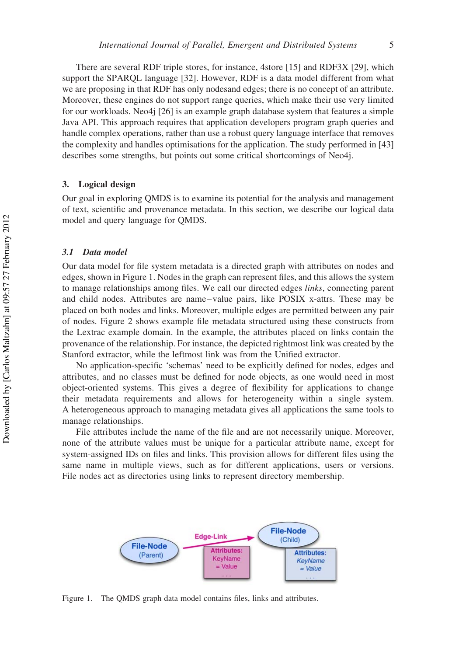There are several RDF triple stores, for instance, 4store [15] and RDF3X [29], which support the SPARQL language [32]. However, RDF is a data model different from what we are proposing in that RDF has only nodesand edges; there is no concept of an attribute. Moreover, these engines do not support range queries, which make their use very limited for our workloads. Neo4j [26] is an example graph database system that features a simple Java API. This approach requires that application developers program graph queries and handle complex operations, rather than use a robust query language interface that removes the complexity and handles optimisations for the application. The study performed in [43] describes some strengths, but points out some critical shortcomings of Neo4j.

#### 3. Logical design

Our goal in exploring QMDS is to examine its potential for the analysis and management of text, scientific and provenance metadata. In this section, we describe our logical data model and query language for QMDS.

#### 3.1 Data model

Our data model for file system metadata is a directed graph with attributes on nodes and edges, shown in Figure 1. Nodes in the graph can represent files, and this allows the system to manage relationships among files. We call our directed edges links, connecting parent and child nodes. Attributes are name– value pairs, like POSIX x-attrs. These may be placed on both nodes and links. Moreover, multiple edges are permitted between any pair of nodes. Figure 2 shows example file metadata structured using these constructs from the Lextrac example domain. In the example, the attributes placed on links contain the provenance of the relationship. For instance, the depicted rightmost link was created by the Stanford extractor, while the leftmost link was from the Unified extractor.

No application-specific 'schemas' need to be explicitly defined for nodes, edges and attributes, and no classes must be defined for node objects, as one would need in most object-oriented systems. This gives a degree of flexibility for applications to change their metadata requirements and allows for heterogeneity within a single system. A heterogeneous approach to managing metadata gives all applications the same tools to manage relationships.

File attributes include the name of the file and are not necessarily unique. Moreover, none of the attribute values must be unique for a particular attribute name, except for system-assigned IDs on files and links. This provision allows for different files using the same name in multiple views, such as for different applications, users or versions. File nodes act as directories using links to represent directory membership.



Figure 1. The QMDS graph data model contains files, links and attributes.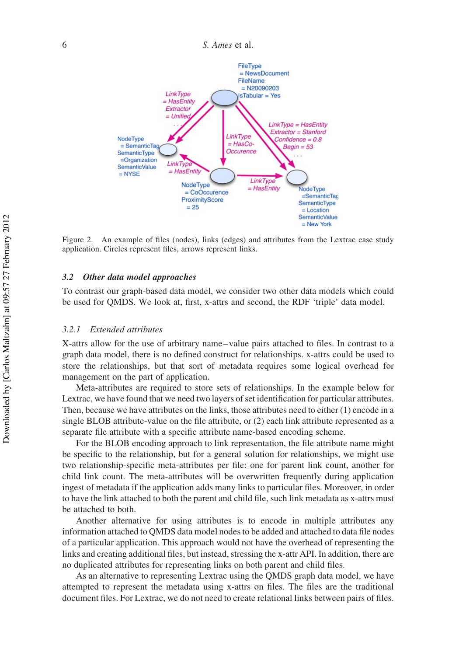

Figure 2. An example of files (nodes), links (edges) and attributes from the Lextrac case study application. Circles represent files, arrows represent links.

#### 3.2 Other data model approaches

To contrast our graph-based data model, we consider two other data models which could be used for QMDS. We look at, first, x-attrs and second, the RDF 'triple' data model.

#### 3.2.1 Extended attributes

X-attrs allow for the use of arbitrary name –value pairs attached to files. In contrast to a graph data model, there is no defined construct for relationships. x-attrs could be used to store the relationships, but that sort of metadata requires some logical overhead for management on the part of application.

Meta-attributes are required to store sets of relationships. In the example below for Lextrac, we have found that we need two layers of set identification for particular attributes. Then, because we have attributes on the links, those attributes need to either (1) encode in a single BLOB attribute-value on the file attribute, or (2) each link attribute represented as a separate file attribute with a specific attribute name-based encoding scheme.

For the BLOB encoding approach to link representation, the file attribute name might be specific to the relationship, but for a general solution for relationships, we might use two relationship-specific meta-attributes per file: one for parent link count, another for child link count. The meta-attributes will be overwritten frequently during application ingest of metadata if the application adds many links to particular files. Moreover, in order to have the link attached to both the parent and child file, such link metadata as x-attrs must be attached to both.

Another alternative for using attributes is to encode in multiple attributes any information attached to QMDS data model nodes to be added and attached to data file nodes of a particular application. This approach would not have the overhead of representing the links and creating additional files, but instead, stressing the x-attr API. In addition, there are no duplicated attributes for representing links on both parent and child files.

As an alternative to representing Lextrac using the QMDS graph data model, we have attempted to represent the metadata using x-attrs on files. The files are the traditional document files. For Lextrac, we do not need to create relational links between pairs of files.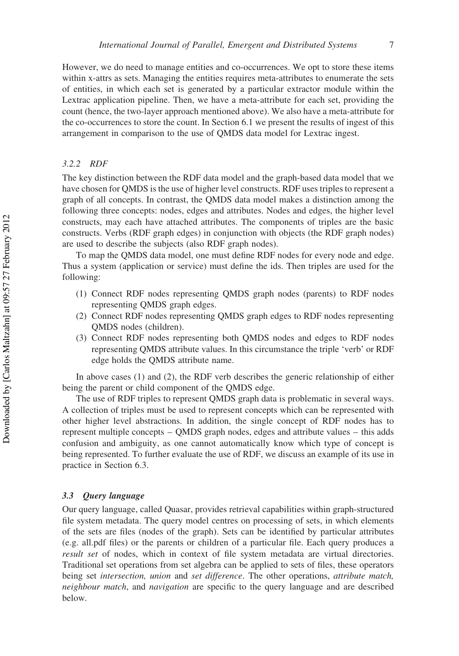However, we do need to manage entities and co-occurrences. We opt to store these items within x-attrs as sets. Managing the entities requires meta-attributes to enumerate the sets of entities, in which each set is generated by a particular extractor module within the Lextrac application pipeline. Then, we have a meta-attribute for each set, providing the count (hence, the two-layer approach mentioned above). We also have a meta-attribute for the co-occurrences to store the count. In Section 6.1 we present the results of ingest of this arrangement in comparison to the use of QMDS data model for Lextrac ingest.

#### 3.2.2 RDF

The key distinction between the RDF data model and the graph-based data model that we have chosen for QMDS is the use of higher level constructs. RDF uses triples to represent a graph of all concepts. In contrast, the QMDS data model makes a distinction among the following three concepts: nodes, edges and attributes. Nodes and edges, the higher level constructs, may each have attached attributes. The components of triples are the basic constructs. Verbs (RDF graph edges) in conjunction with objects (the RDF graph nodes) are used to describe the subjects (also RDF graph nodes).

To map the QMDS data model, one must define RDF nodes for every node and edge. Thus a system (application or service) must define the ids. Then triples are used for the following:

- (1) Connect RDF nodes representing QMDS graph nodes (parents) to RDF nodes representing QMDS graph edges.
- (2) Connect RDF nodes representing QMDS graph edges to RDF nodes representing QMDS nodes (children).
- (3) Connect RDF nodes representing both QMDS nodes and edges to RDF nodes representing QMDS attribute values. In this circumstance the triple 'verb' or RDF edge holds the QMDS attribute name.

In above cases (1) and (2), the RDF verb describes the generic relationship of either being the parent or child component of the QMDS edge.

The use of RDF triples to represent QMDS graph data is problematic in several ways. A collection of triples must be used to represent concepts which can be represented with other higher level abstractions. In addition, the single concept of RDF nodes has to represent multiple concepts – QMDS graph nodes, edges and attribute values – this adds confusion and ambiguity, as one cannot automatically know which type of concept is being represented. To further evaluate the use of RDF, we discuss an example of its use in practice in Section 6.3.

#### 3.3 Query language

Our query language, called Quasar, provides retrieval capabilities within graph-structured file system metadata. The query model centres on processing of sets, in which elements of the sets are files (nodes of the graph). Sets can be identified by particular attributes (e.g. all.pdf files) or the parents or children of a particular file. Each query produces a result set of nodes, which in context of file system metadata are virtual directories. Traditional set operations from set algebra can be applied to sets of files, these operators being set intersection, union and set difference. The other operations, attribute match, neighbour match, and navigation are specific to the query language and are described below.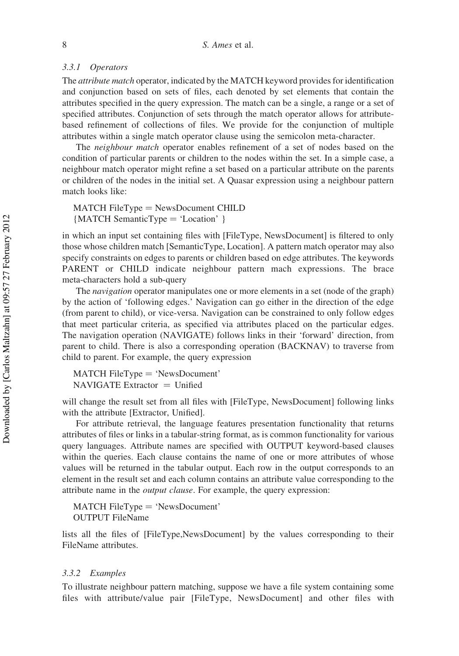#### 3.3.1 Operators

The attribute match operator, indicated by the MATCH keyword provides for identification and conjunction based on sets of files, each denoted by set elements that contain the attributes specified in the query expression. The match can be a single, a range or a set of specified attributes. Conjunction of sets through the match operator allows for attributebased refinement of collections of files. We provide for the conjunction of multiple attributes within a single match operator clause using the semicolon meta-character.

The neighbour match operator enables refinement of a set of nodes based on the condition of particular parents or children to the nodes within the set. In a simple case, a neighbour match operator might refine a set based on a particular attribute on the parents or children of the nodes in the initial set. A Quasar expression using a neighbour pattern match looks like:

 $MATCH$  FileType  $=$  NewsDocument CHILD  ${MATCH}$  SemanticType  $= 'Location'$ 

in which an input set containing files with [FileType, NewsDocument] is filtered to only those whose children match [SemanticType, Location]. A pattern match operator may also specify constraints on edges to parents or children based on edge attributes. The keywords PARENT or CHILD indicate neighbour pattern mach expressions. The brace meta-characters hold a sub-query

The navigation operator manipulates one or more elements in a set (node of the graph) by the action of 'following edges.' Navigation can go either in the direction of the edge (from parent to child), or vice-versa. Navigation can be constrained to only follow edges that meet particular criteria, as specified via attributes placed on the particular edges. The navigation operation (NAVIGATE) follows links in their 'forward' direction, from parent to child. There is also a corresponding operation (BACKNAV) to traverse from child to parent. For example, the query expression

 $MATCH$  FileType  $=$  'NewsDocument' NAVIGATE Extractor  $=$  Unified

will change the result set from all files with [FileType, NewsDocument] following links with the attribute [Extractor, Unified].

For attribute retrieval, the language features presentation functionality that returns attributes of files or links in a tabular-string format, as is common functionality for various query languages. Attribute names are specified with OUTPUT keyword-based clauses within the queries. Each clause contains the name of one or more attributes of whose values will be returned in the tabular output. Each row in the output corresponds to an element in the result set and each column contains an attribute value corresponding to the attribute name in the output clause. For example, the query expression:

 $MATCH$  FileType  $=$  'NewsDocument' OUTPUT FileName

lists all the files of [FileType,NewsDocument] by the values corresponding to their FileName attributes.

#### 3.3.2 Examples

To illustrate neighbour pattern matching, suppose we have a file system containing some files with attribute/value pair [FileType, NewsDocument] and other files with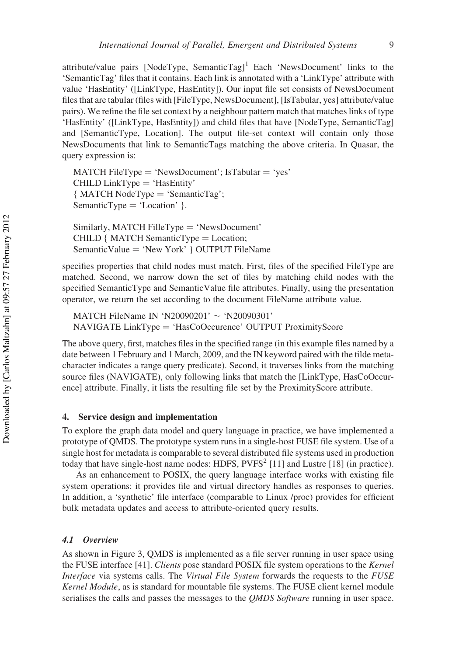attribute/value pairs [NodeType, SemanticTag]<sup>1</sup> Each 'NewsDocument' links to the 'SemanticTag' files that it contains. Each link is annotated with a 'LinkType' attribute with value 'HasEntity' ([LinkType, HasEntity]). Our input file set consists of NewsDocument files that are tabular (files with [FileType, NewsDocument], [IsTabular, yes] attribute/value pairs). We refine the file set context by a neighbour pattern match that matches links of type 'HasEntity' ([LinkType, HasEntity]) and child files that have [NodeType, SemanticTag] and [SemanticType, Location]. The output file-set context will contain only those NewsDocuments that link to SemanticTags matching the above criteria. In Quasar, the query expression is:

 $MATCH$  FileType  $=$  'NewsDocument'; IsTabular  $=$  'yes'  $CHILD$  LinkType  $=$  'HasEntity' { MATCH NodeType = 'SemanticTag'; SemanticType  $=$  'Location' }.

 $Similarly, MATCH FilleType = 'NewsDocument'$ CHILD { MATCH SemanticType  $=$  Location;  $SemanticValue = 'New York'$  } OUTPUT FileName

specifies properties that child nodes must match. First, files of the specified FileType are matched. Second, we narrow down the set of files by matching child nodes with the specified SemanticType and SemanticValue file attributes. Finally, using the presentation operator, we return the set according to the document FileName attribute value.

MATCH FileName IN 'N20090201'  $\sim$  'N20090301' NAVIGATE LinkType = 'HasCoOccurence' OUTPUT ProximityScore

The above query, first, matches files in the specified range (in this example files named by a date between 1 February and 1 March, 2009, and the IN keyword paired with the tilde metacharacter indicates a range query predicate). Second, it traverses links from the matching source files (NAVIGATE), only following links that match the [LinkType, HasCoOccurence] attribute. Finally, it lists the resulting file set by the ProximityScore attribute.

#### 4. Service design and implementation

To explore the graph data model and query language in practice, we have implemented a prototype of QMDS. The prototype system runs in a single-host FUSE file system. Use of a single host for metadata is comparable to several distributed file systems used in production today that have single-host name nodes: HDFS,  $PVFS<sup>2</sup>$  [11] and Lustre [18] (in practice).

As an enhancement to POSIX, the query language interface works with existing file system operations: it provides file and virtual directory handles as responses to queries. In addition, a 'synthetic' file interface (comparable to Linux /proc) provides for efficient bulk metadata updates and access to attribute-oriented query results.

#### 4.1 Overview

As shown in Figure 3, QMDS is implemented as a file server running in user space using the FUSE interface [41]. Clients pose standard POSIX file system operations to the Kernel Interface via systems calls. The Virtual File System forwards the requests to the FUSE Kernel Module, as is standard for mountable file systems. The FUSE client kernel module serialises the calls and passes the messages to the *QMDS Software* running in user space.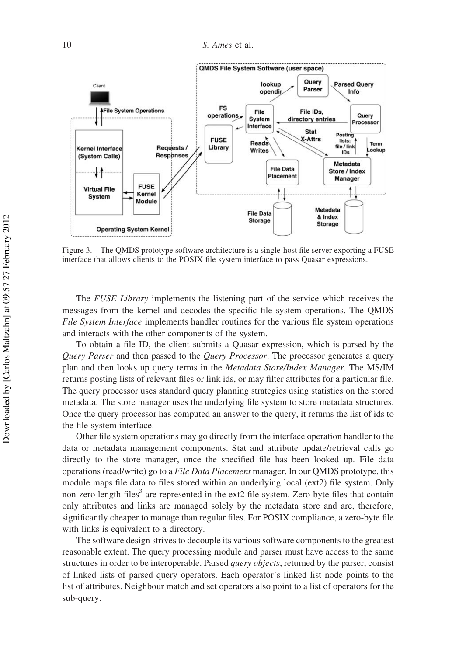

Figure 3. The QMDS prototype software architecture is a single-host file server exporting a FUSE interface that allows clients to the POSIX file system interface to pass Quasar expressions.

The FUSE Library implements the listening part of the service which receives the messages from the kernel and decodes the specific file system operations. The QMDS File System Interface implements handler routines for the various file system operations and interacts with the other components of the system.

To obtain a file ID, the client submits a Quasar expression, which is parsed by the Query Parser and then passed to the Query Processor. The processor generates a query plan and then looks up query terms in the Metadata Store/Index Manager. The MS/IM returns posting lists of relevant files or link ids, or may filter attributes for a particular file. The query processor uses standard query planning strategies using statistics on the stored metadata. The store manager uses the underlying file system to store metadata structures. Once the query processor has computed an answer to the query, it returns the list of ids to the file system interface.

Other file system operations may go directly from the interface operation handler to the data or metadata management components. Stat and attribute update/retrieval calls go directly to the store manager, once the specified file has been looked up. File data operations (read/write) go to a File Data Placement manager. In our QMDS prototype, this module maps file data to files stored within an underlying local (ext2) file system. Only non-zero length files<sup>3</sup> are represented in the ext2 file system. Zero-byte files that contain only attributes and links are managed solely by the metadata store and are, therefore, significantly cheaper to manage than regular files. For POSIX compliance, a zero-byte file with links is equivalent to a directory.

The software design strives to decouple its various software components to the greatest reasonable extent. The query processing module and parser must have access to the same structures in order to be interoperable. Parsed *query objects*, returned by the parser, consist of linked lists of parsed query operators. Each operator's linked list node points to the list of attributes. Neighbour match and set operators also point to a list of operators for the sub-query.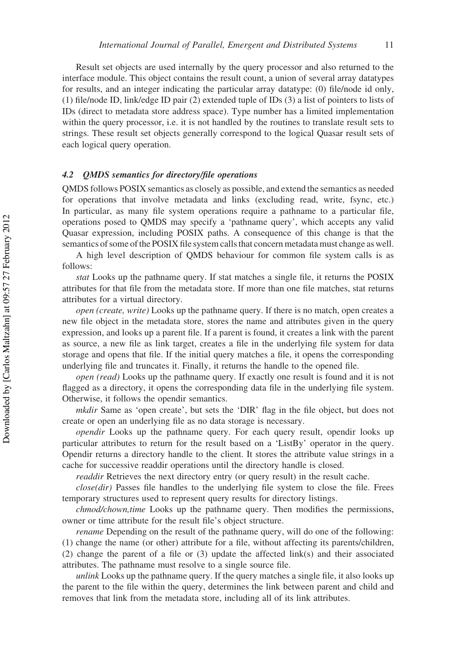Result set objects are used internally by the query processor and also returned to the interface module. This object contains the result count, a union of several array datatypes for results, and an integer indicating the particular array datatype: (0) file/node id only, (1) file/node ID, link/edge ID pair (2) extended tuple of IDs (3) a list of pointers to lists of IDs (direct to metadata store address space). Type number has a limited implementation within the query processor, i.e. it is not handled by the routines to translate result sets to strings. These result set objects generally correspond to the logical Quasar result sets of each logical query operation.

#### 4.2 QMDS semantics for directory/file operations

QMDS follows POSIX semantics as closely as possible, and extend the semantics as needed for operations that involve metadata and links (excluding read, write, fsync, etc.) In particular, as many file system operations require a pathname to a particular file, operations posed to QMDS may specify a 'pathname query', which accepts any valid Quasar expression, including POSIX paths. A consequence of this change is that the semantics of some of the POSIX file system calls that concern metadata must change as well.

A high level description of QMDS behaviour for common file system calls is as follows:

stat Looks up the pathname query. If stat matches a single file, it returns the POSIX attributes for that file from the metadata store. If more than one file matches, stat returns attributes for a virtual directory.

open (create, write) Looks up the pathname query. If there is no match, open creates a new file object in the metadata store, stores the name and attributes given in the query expression, and looks up a parent file. If a parent is found, it creates a link with the parent as source, a new file as link target, creates a file in the underlying file system for data storage and opens that file. If the initial query matches a file, it opens the corresponding underlying file and truncates it. Finally, it returns the handle to the opened file.

open (read) Looks up the pathname query. If exactly one result is found and it is not flagged as a directory, it opens the corresponding data file in the underlying file system. Otherwise, it follows the opendir semantics.

mkdir Same as 'open create', but sets the 'DIR' flag in the file object, but does not create or open an underlying file as no data storage is necessary.

opendir Looks up the pathname query. For each query result, opendir looks up particular attributes to return for the result based on a 'ListBy' operator in the query. Opendir returns a directory handle to the client. It stores the attribute value strings in a cache for successive readdir operations until the directory handle is closed.

readdir Retrieves the next directory entry (or query result) in the result cache.

 $close-dir)$  Passes file handles to the underlying file system to close the file. Frees temporary structures used to represent query results for directory listings.

chmod/chown,time Looks up the pathname query. Then modifies the permissions, owner or time attribute for the result file's object structure.

rename Depending on the result of the pathname query, will do one of the following: (1) change the name (or other) attribute for a file, without affecting its parents/children, (2) change the parent of a file or (3) update the affected link(s) and their associated attributes. The pathname must resolve to a single source file.

unlink Looks up the pathname query. If the query matches a single file, it also looks up the parent to the file within the query, determines the link between parent and child and removes that link from the metadata store, including all of its link attributes.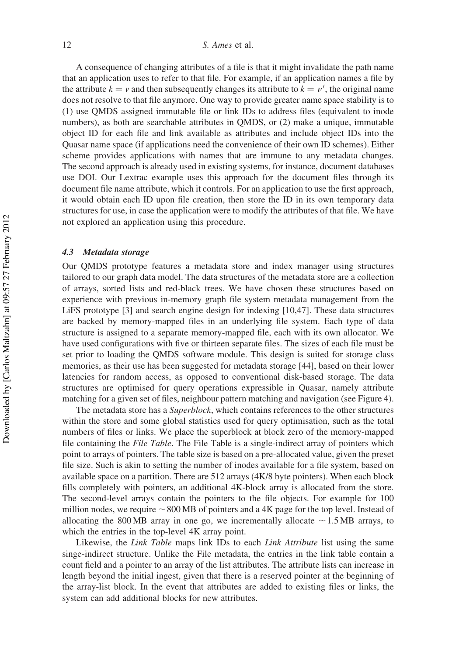A consequence of changing attributes of a file is that it might invalidate the path name that an application uses to refer to that file. For example, if an application names a file by the attribute  $k = v$  and then subsequently changes its attribute to  $k = v'$ , the original name does not resolve to that file anymore. One way to provide greater name space stability is to (1) use QMDS assigned immutable file or link IDs to address files (equivalent to inode numbers), as both are searchable attributes in QMDS, or (2) make a unique, immutable object ID for each file and link available as attributes and include object IDs into the Quasar name space (if applications need the convenience of their own ID schemes). Either scheme provides applications with names that are immune to any metadata changes. The second approach is already used in existing systems, for instance, document databases use DOI. Our Lextrac example uses this approach for the document files through its document file name attribute, which it controls. For an application to use the first approach, it would obtain each ID upon file creation, then store the ID in its own temporary data structures for use, in case the application were to modify the attributes of that file. We have not explored an application using this procedure.

#### 4.3 Metadata storage

Our QMDS prototype features a metadata store and index manager using structures tailored to our graph data model. The data structures of the metadata store are a collection of arrays, sorted lists and red-black trees. We have chosen these structures based on experience with previous in-memory graph file system metadata management from the LiFS prototype [3] and search engine design for indexing [10,47]. These data structures are backed by memory-mapped files in an underlying file system. Each type of data structure is assigned to a separate memory-mapped file, each with its own allocator. We have used configurations with five or thirteen separate files. The sizes of each file must be set prior to loading the QMDS software module. This design is suited for storage class memories, as their use has been suggested for metadata storage [44], based on their lower latencies for random access, as opposed to conventional disk-based storage. The data structures are optimised for query operations expressible in Quasar, namely attribute matching for a given set of files, neighbour pattern matching and navigation (see Figure 4).

The metadata store has a Superblock, which contains references to the other structures within the store and some global statistics used for query optimisation, such as the total numbers of files or links. We place the superblock at block zero of the memory-mapped file containing the File Table. The File Table is a single-indirect array of pointers which point to arrays of pointers. The table size is based on a pre-allocated value, given the preset file size. Such is akin to setting the number of inodes available for a file system, based on available space on a partition. There are 512 arrays (4K/8 byte pointers). When each block fills completely with pointers, an additional 4K-block array is allocated from the store. The second-level arrays contain the pointers to the file objects. For example for 100 million nodes, we require  $\sim$  800 MB of pointers and a 4K page for the top level. Instead of allocating the 800 MB array in one go, we incrementally allocate  $\sim$  1.5 MB arrays, to which the entries in the top-level 4K array point.

Likewise, the *Link Table* maps link IDs to each *Link Attribute* list using the same singe-indirect structure. Unlike the File metadata, the entries in the link table contain a count field and a pointer to an array of the list attributes. The attribute lists can increase in length beyond the initial ingest, given that there is a reserved pointer at the beginning of the array-list block. In the event that attributes are added to existing files or links, the system can add additional blocks for new attributes.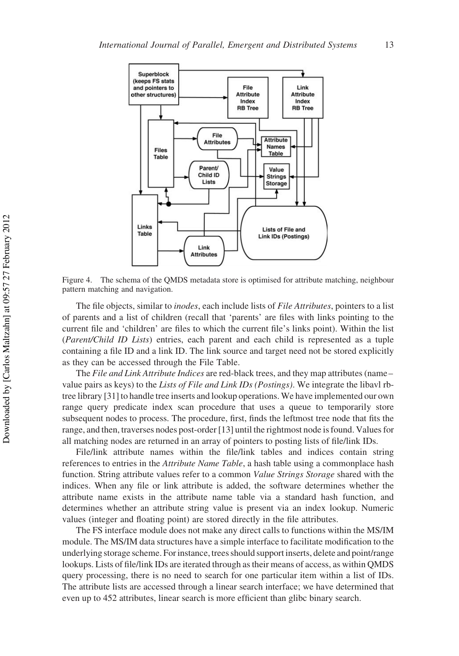

Figure 4. The schema of the QMDS metadata store is optimised for attribute matching, neighbour pattern matching and navigation.

The file objects, similar to *inodes*, each include lists of *File Attributes*, pointers to a list of parents and a list of children (recall that 'parents' are files with links pointing to the current file and 'children' are files to which the current file's links point). Within the list (Parent/Child ID Lists) entries, each parent and each child is represented as a tuple containing a file ID and a link ID. The link source and target need not be stored explicitly as they can be accessed through the File Table.

The File and Link Attribute Indices are red-black trees, and they map attributes (name – value pairs as keys) to the Lists of File and Link IDs (Postings). We integrate the libavl rbtree library [31] to handle tree inserts and lookup operations. We have implemented our own range query predicate index scan procedure that uses a queue to temporarily store subsequent nodes to process. The procedure, first, finds the leftmost tree node that fits the range, and then, traverses nodes post-order [13] until the rightmost node is found. Values for all matching nodes are returned in an array of pointers to posting lists of file/link IDs.

File/link attribute names within the file/link tables and indices contain string references to entries in the Attribute Name Table, a hash table using a commonplace hash function. String attribute values refer to a common *Value Strings Storage* shared with the indices. When any file or link attribute is added, the software determines whether the attribute name exists in the attribute name table via a standard hash function, and determines whether an attribute string value is present via an index lookup. Numeric values (integer and floating point) are stored directly in the file attributes.

The FS interface module does not make any direct calls to functions within the MS/IM module. The MS/IM data structures have a simple interface to facilitate modification to the underlying storage scheme. For instance, trees should support inserts, delete and point/range lookups. Lists of file/link IDs are iterated through as their means of access, as within QMDS query processing, there is no need to search for one particular item within a list of IDs. The attribute lists are accessed through a linear search interface; we have determined that even up to 452 attributes, linear search is more efficient than glibc binary search.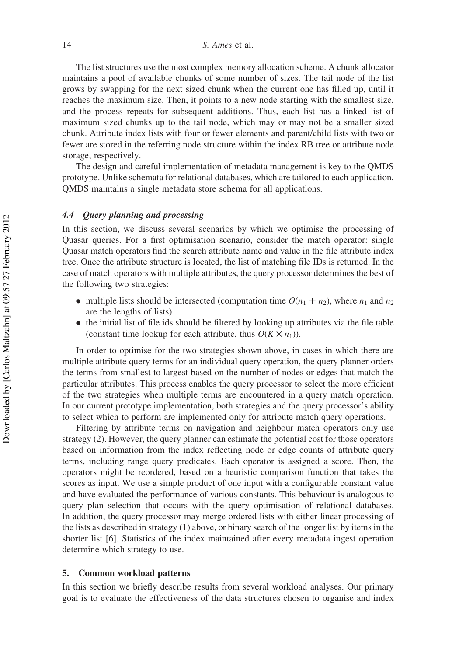The list structures use the most complex memory allocation scheme. A chunk allocator maintains a pool of available chunks of some number of sizes. The tail node of the list grows by swapping for the next sized chunk when the current one has filled up, until it reaches the maximum size. Then, it points to a new node starting with the smallest size, and the process repeats for subsequent additions. Thus, each list has a linked list of maximum sized chunks up to the tail node, which may or may not be a smaller sized chunk. Attribute index lists with four or fewer elements and parent/child lists with two or fewer are stored in the referring node structure within the index RB tree or attribute node storage, respectively.

The design and careful implementation of metadata management is key to the QMDS prototype. Unlike schemata for relational databases, which are tailored to each application, QMDS maintains a single metadata store schema for all applications.

#### 4.4 Query planning and processing

In this section, we discuss several scenarios by which we optimise the processing of Quasar queries. For a first optimisation scenario, consider the match operator: single Quasar match operators find the search attribute name and value in the file attribute index tree. Once the attribute structure is located, the list of matching file IDs is returned. In the case of match operators with multiple attributes, the query processor determines the best of the following two strategies:

- multiple lists should be intersected (computation time  $O(n_1 + n_2)$ , where  $n_1$  and  $n_2$ are the lengths of lists)
- . the initial list of file ids should be filtered by looking up attributes via the file table (constant time lookup for each attribute, thus  $O(K \times n_1)$ ).

In order to optimise for the two strategies shown above, in cases in which there are multiple attribute query terms for an individual query operation, the query planner orders the terms from smallest to largest based on the number of nodes or edges that match the particular attributes. This process enables the query processor to select the more efficient of the two strategies when multiple terms are encountered in a query match operation. In our current prototype implementation, both strategies and the query processor's ability to select which to perform are implemented only for attribute match query operations.

Filtering by attribute terms on navigation and neighbour match operators only use strategy (2). However, the query planner can estimate the potential cost for those operators based on information from the index reflecting node or edge counts of attribute query terms, including range query predicates. Each operator is assigned a score. Then, the operators might be reordered, based on a heuristic comparison function that takes the scores as input. We use a simple product of one input with a configurable constant value and have evaluated the performance of various constants. This behaviour is analogous to query plan selection that occurs with the query optimisation of relational databases. In addition, the query processor may merge ordered lists with either linear processing of the lists as described in strategy (1) above, or binary search of the longer list by items in the shorter list [6]. Statistics of the index maintained after every metadata ingest operation determine which strategy to use.

#### 5. Common workload patterns

In this section we briefly describe results from several workload analyses. Our primary goal is to evaluate the effectiveness of the data structures chosen to organise and index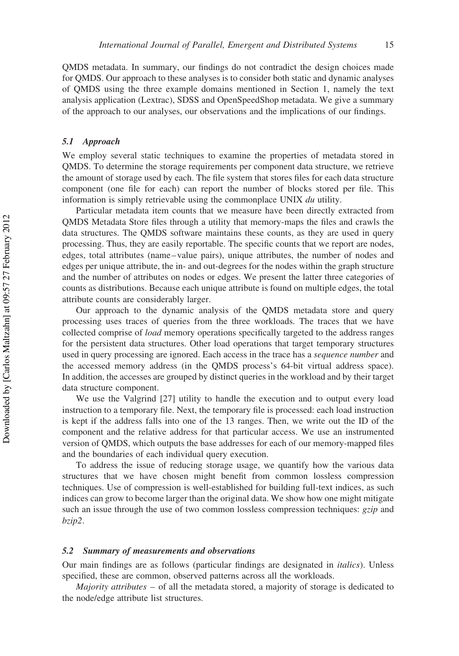QMDS metadata. In summary, our findings do not contradict the design choices made for QMDS. Our approach to these analyses is to consider both static and dynamic analyses of QMDS using the three example domains mentioned in Section 1, namely the text analysis application (Lextrac), SDSS and OpenSpeedShop metadata. We give a summary of the approach to our analyses, our observations and the implications of our findings.

#### 5.1 Approach

We employ several static techniques to examine the properties of metadata stored in QMDS. To determine the storage requirements per component data structure, we retrieve the amount of storage used by each. The file system that stores files for each data structure component (one file for each) can report the number of blocks stored per file. This information is simply retrievable using the commonplace UNIX du utility.

Particular metadata item counts that we measure have been directly extracted from QMDS Metadata Store files through a utility that memory-maps the files and crawls the data structures. The QMDS software maintains these counts, as they are used in query processing. Thus, they are easily reportable. The specific counts that we report are nodes, edges, total attributes (name –value pairs), unique attributes, the number of nodes and edges per unique attribute, the in- and out-degrees for the nodes within the graph structure and the number of attributes on nodes or edges. We present the latter three categories of counts as distributions. Because each unique attribute is found on multiple edges, the total attribute counts are considerably larger.

Our approach to the dynamic analysis of the QMDS metadata store and query processing uses traces of queries from the three workloads. The traces that we have collected comprise of load memory operations specifically targeted to the address ranges for the persistent data structures. Other load operations that target temporary structures used in query processing are ignored. Each access in the trace has a *sequence number* and the accessed memory address (in the QMDS process's 64-bit virtual address space). In addition, the accesses are grouped by distinct queries in the workload and by their target data structure component.

We use the Valgrind [27] utility to handle the execution and to output every load instruction to a temporary file. Next, the temporary file is processed: each load instruction is kept if the address falls into one of the 13 ranges. Then, we write out the ID of the component and the relative address for that particular access. We use an instrumented version of QMDS, which outputs the base addresses for each of our memory-mapped files and the boundaries of each individual query execution.

To address the issue of reducing storage usage, we quantify how the various data structures that we have chosen might benefit from common lossless compression techniques. Use of compression is well-established for building full-text indices, as such indices can grow to become larger than the original data. We show how one might mitigate such an issue through the use of two common lossless compression techniques: *gzip* and bzip2.

#### 5.2 Summary of measurements and observations

Our main findings are as follows (particular findings are designated in italics). Unless specified, these are common, observed patterns across all the workloads.

*Majority attributes* – of all the metadata stored, a majority of storage is dedicated to the node/edge attribute list structures.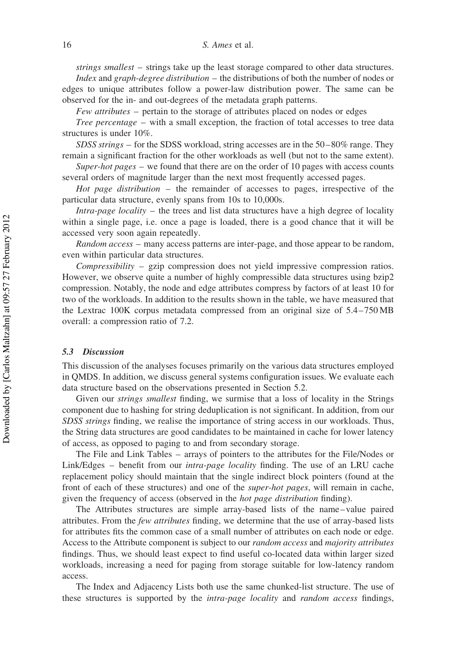strings smallest – strings take up the least storage compared to other data structures. Index and graph-degree distribution – the distributions of both the number of nodes or edges to unique attributes follow a power-law distribution power. The same can be observed for the in- and out-degrees of the metadata graph patterns.

Few attributes – pertain to the storage of attributes placed on nodes or edges

Tree percentage – with a small exception, the fraction of total accesses to tree data structures is under 10%.

SDSS strings – for the SDSS workload, string accesses are in the 50–80% range. They remain a significant fraction for the other workloads as well (but not to the same extent).

Super-hot pages – we found that there are on the order of 10 pages with access counts several orders of magnitude larger than the next most frequently accessed pages.

Hot page distribution – the remainder of accesses to pages, irrespective of the particular data structure, evenly spans from 10s to 10,000s.

Intra-page locality – the trees and list data structures have a high degree of locality within a single page, i.e. once a page is loaded, there is a good chance that it will be accessed very soon again repeatedly.

Random access – many access patterns are inter-page, and those appear to be random, even within particular data structures.

Compressibility – gzip compression does not yield impressive compression ratios. However, we observe quite a number of highly compressible data structures using bzip2 compression. Notably, the node and edge attributes compress by factors of at least 10 for two of the workloads. In addition to the results shown in the table, we have measured that the Lextrac 100K corpus metadata compressed from an original size of 5.4 –750 MB overall: a compression ratio of 7.2.

#### 5.3 Discussion

This discussion of the analyses focuses primarily on the various data structures employed in QMDS. In addition, we discuss general systems configuration issues. We evaluate each data structure based on the observations presented in Section 5.2.

Given our *strings smallest* finding, we surmise that a loss of locality in the Strings component due to hashing for string deduplication is not significant. In addition, from our SDSS strings finding, we realise the importance of string access in our workloads. Thus, the String data structures are good candidates to be maintained in cache for lower latency of access, as opposed to paging to and from secondary storage.

The File and Link Tables – arrays of pointers to the attributes for the File/Nodes or Link/Edges – benefit from our intra-page locality finding. The use of an LRU cache replacement policy should maintain that the single indirect block pointers (found at the front of each of these structures) and one of the *super-hot pages*, will remain in cache, given the frequency of access (observed in the hot page distribution finding).

The Attributes structures are simple array-based lists of the name –value paired attributes. From the few attributes finding, we determine that the use of array-based lists for attributes fits the common case of a small number of attributes on each node or edge. Access to the Attribute component is subject to our random access and majority attributes findings. Thus, we should least expect to find useful co-located data within larger sized workloads, increasing a need for paging from storage suitable for low-latency random access.

The Index and Adjacency Lists both use the same chunked-list structure. The use of these structures is supported by the intra-page locality and random access findings,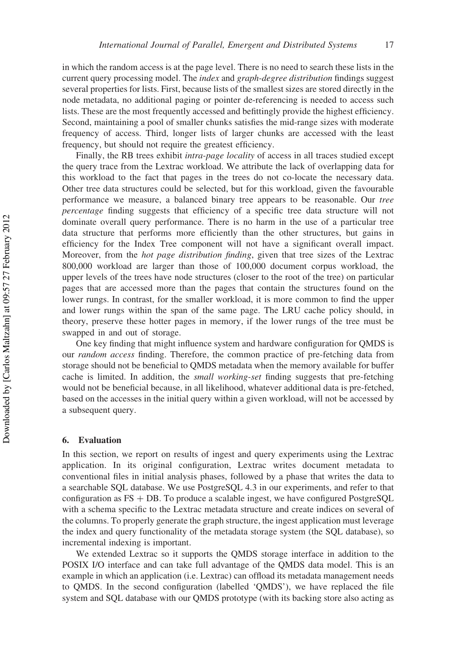in which the random access is at the page level. There is no need to search these lists in the current query processing model. The *index* and *graph-degree distribution* findings suggest several properties for lists. First, because lists of the smallest sizes are stored directly in the node metadata, no additional paging or pointer de-referencing is needed to access such lists. These are the most frequently accessed and befittingly provide the highest efficiency. Second, maintaining a pool of smaller chunks satisfies the mid-range sizes with moderate frequency of access. Third, longer lists of larger chunks are accessed with the least frequency, but should not require the greatest efficiency.

Finally, the RB trees exhibit intra-page locality of access in all traces studied except the query trace from the Lextrac workload. We attribute the lack of overlapping data for this workload to the fact that pages in the trees do not co-locate the necessary data. Other tree data structures could be selected, but for this workload, given the favourable performance we measure, a balanced binary tree appears to be reasonable. Our tree percentage finding suggests that efficiency of a specific tree data structure will not dominate overall query performance. There is no harm in the use of a particular tree data structure that performs more efficiently than the other structures, but gains in efficiency for the Index Tree component will not have a significant overall impact. Moreover, from the hot page distribution finding, given that tree sizes of the Lextrac 800,000 workload are larger than those of 100,000 document corpus workload, the upper levels of the trees have node structures (closer to the root of the tree) on particular pages that are accessed more than the pages that contain the structures found on the lower rungs. In contrast, for the smaller workload, it is more common to find the upper and lower rungs within the span of the same page. The LRU cache policy should, in theory, preserve these hotter pages in memory, if the lower rungs of the tree must be swapped in and out of storage.

One key finding that might influence system and hardware configuration for QMDS is our random access finding. Therefore, the common practice of pre-fetching data from storage should not be beneficial to QMDS metadata when the memory available for buffer cache is limited. In addition, the *small working-set* finding suggests that pre-fetching would not be beneficial because, in all likelihood, whatever additional data is pre-fetched, based on the accesses in the initial query within a given workload, will not be accessed by a subsequent query.

#### 6. Evaluation

In this section, we report on results of ingest and query experiments using the Lextrac application. In its original configuration, Lextrac writes document metadata to conventional files in initial analysis phases, followed by a phase that writes the data to a searchable SQL database. We use PostgreSQL 4.3 in our experiments, and refer to that configuration as  $FS + DB$ . To produce a scalable ingest, we have configured PostgreSQL with a schema specific to the Lextrac metadata structure and create indices on several of the columns. To properly generate the graph structure, the ingest application must leverage the index and query functionality of the metadata storage system (the SQL database), so incremental indexing is important.

We extended Lextrac so it supports the QMDS storage interface in addition to the POSIX I/O interface and can take full advantage of the QMDS data model. This is an example in which an application (i.e. Lextrac) can offload its metadata management needs to QMDS. In the second configuration (labelled 'QMDS'), we have replaced the file system and SQL database with our QMDS prototype (with its backing store also acting as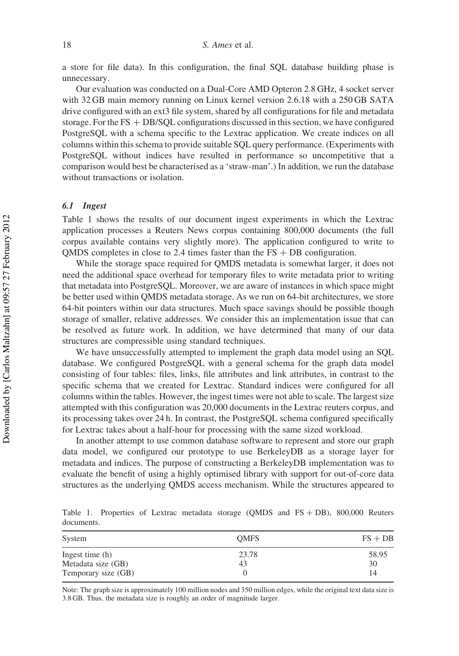a store for file data). In this configuration, the final SQL database building phase is unnecessary.

Our evaluation was conducted on a Dual-Core AMD Opteron 2.8 GHz, 4 socket server with 32 GB main memory running on Linux kernel version 2.6.18 with a 250 GB SATA drive configured with an ext3 file system, shared by all configurations for file and metadata storage. For the  $FS + DB/SQL$  configurations discussed in this section, we have configured PostgreSQL with a schema specific to the Lextrac application. We create indices on all columns within this schema to provide suitable SQL query performance. (Experiments with PostgreSQL without indices have resulted in performance so uncompetitive that a comparison would best be characterised as a 'straw-man'.) In addition, we run the database without transactions or isolation.

#### 6.1 Ingest

Table 1 shows the results of our document ingest experiments in which the Lextrac application processes a Reuters News corpus containing 800,000 documents (the full corpus available contains very slightly more). The application configured to write to QMDS completes in close to 2.4 times faster than the  $FS + DB$  configuration.

While the storage space required for QMDS metadata is somewhat larger, it does not need the additional space overhead for temporary files to write metadata prior to writing that metadata into PostgreSQL. Moreover, we are aware of instances in which space might be better used within QMDS metadata storage. As we run on 64-bit architectures, we store 64-bit pointers within our data structures. Much space savings should be possible though storage of smaller, relative addresses. We consider this an implementation issue that can be resolved as future work. In addition, we have determined that many of our data structures are compressible using standard techniques.

We have unsuccessfully attempted to implement the graph data model using an SQL database. We configured PostgreSQL with a general schema for the graph data model consisting of four tables: files, links, file attributes and link attributes, in contrast to the specific schema that we created for Lextrac. Standard indices were configured for all columns within the tables. However, the ingest times were not able to scale. The largest size attempted with this configuration was 20,000 documents in the Lextrac reuters corpus, and its processing takes over 24 h. In contrast, the PostgreSQL schema configured specifically for Lextrac takes about a half-hour for processing with the same sized workload.

In another attempt to use common database software to represent and store our graph data model, we configured our prototype to use BerkeleyDB as a storage layer for metadata and indices. The purpose of constructing a BerkeleyDB implementation was to evaluate the benefit of using a highly optimised library with support for out-of-core data structures as the underlying QMDS access mechanism. While the structures appeared to

|            |  |  |  |  | Table 1. Properties of Lextrac metadata storage (QMDS and $FS + DB$ ), 800,000 Reuters |  |
|------------|--|--|--|--|----------------------------------------------------------------------------------------|--|
| documents. |  |  |  |  |                                                                                        |  |

| <b>OMFS</b> | $FS + DB$         |  |
|-------------|-------------------|--|
| 23.78<br>43 | 58.95<br>30<br>14 |  |
|             |                   |  |

Note: The graph size is approximately 100 million nodes and 350 million edges, while the original text data size is 3.8 GB. Thus, the metadata size is roughly an order of magnitude larger.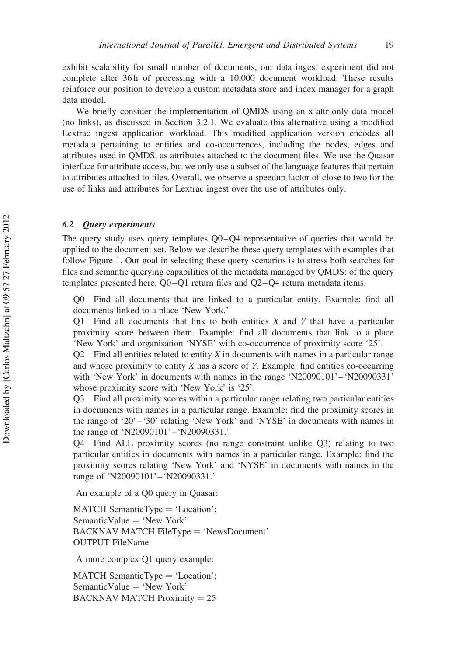exhibit scalability for small number of documents, our data ingest experiment did not complete after 36 h of processing with a 10,000 document workload. These results reinforce our position to develop a custom metadata store and index manager for a graph data model.

We briefly consider the implementation of QMDS using an x-attr-only data model (no links), as discussed in Section 3.2.1. We evaluate this alternative using a modified Lextrac ingest application workload. This modified application version encodes all metadata pertaining to entities and co-occurrences, including the nodes, edges and attributes used in QMDS, as attributes attached to the document files. We use the Quasar interface for attribute access, but we only use a subset of the language features that pertain to attributes attached to files. Overall, we observe a speedup factor of close to two for the use of links and attributes for Lextrac ingest over the use of attributes only.

#### 6.2 Query experiments

The query study uses query templates  $Q_0 - Q_4$  representative of queries that would be applied to the document set. Below we describe these query templates with examples that follow Figure 1. Our goal in selecting these query scenarios is to stress both searches for files and semantic querying capabilities of the metadata managed by QMDS: of the query templates presented here, Q0–Q1 return files and Q2–Q4 return metadata items.

Q0 Find all documents that are linked to a particular entity. Example: find all documents linked to a place 'New York.'

 $Q1$  Find all documents that link to both entities  $X$  and  $Y$  that have a particular proximity score between them. Example: find all documents that link to a place 'New York' and organisation 'NYSE' with co-occurrence of proximity score '25'.

 $Q2$  Find all entities related to entity X in documents with names in a particular range and whose proximity to entity  $X$  has a score of  $Y$ . Example: find entities co-occurring with 'New York' in documents with names in the range 'N20090101' – 'N20090331' whose proximity score with 'New York' is '25'.

Q3 Find all proximity scores within a particular range relating two particular entities in documents with names in a particular range. Example: find the proximity scores in the range of '20' – '30' relating 'New York' and 'NYSE' in documents with names in the range of 'N20090101' – 'N20090331.'

Q4 Find ALL proximity scores (no range constraint unlike Q3) relating to two particular entities in documents with names in a particular range. Example: find the proximity scores relating 'New York' and 'NYSE' in documents with names in the range of 'N20090101'– 'N20090331.'

An example of a Q0 query in Quasar:

 $MATCH$  SemanticType  $= 'Location';$  $SemanticValue = 'New York'$  $BACK$ NAV MATCH FileType  $=$  'NewsDocument' OUTPUT FileName

A more complex Q1 query example:

 $MATCH$  SemanticType  $= 'Location';$  $SemanticValue = 'New York'$ BACKNAV MATCH Proximity  $= 25$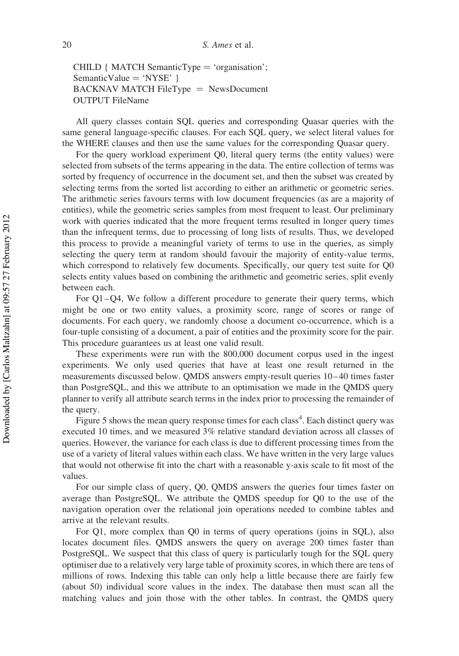CHILD { MATCH SemanticType  $=$  'organisation'; Semantic Value  $= 'NYSE'$  }  $BACKNAV$  MATCH FileType  $=$  NewsDocument OUTPUT FileName

All query classes contain SQL queries and corresponding Quasar queries with the same general language-specific clauses. For each SQL query, we select literal values for the WHERE clauses and then use the same values for the corresponding Quasar query.

For the query workload experiment Q0, literal query terms (the entity values) were selected from subsets of the terms appearing in the data. The entire collection of terms was sorted by frequency of occurrence in the document set, and then the subset was created by selecting terms from the sorted list according to either an arithmetic or geometric series. The arithmetic series favours terms with low document frequencies (as are a majority of entities), while the geometric series samples from most frequent to least. Our preliminary work with queries indicated that the more frequent terms resulted in longer query times than the infrequent terms, due to processing of long lists of results. Thus, we developed this process to provide a meaningful variety of terms to use in the queries, as simply selecting the query term at random should favouir the majority of entity-value terms, which correspond to relatively few documents. Specifically, our query test suite for Q0 selects entity values based on combining the arithmetic and geometric series, split evenly between each.

For Q1 –Q4, We follow a different procedure to generate their query terms, which might be one or two entity values, a proximity score, range of scores or range of documents. For each query, we randomly choose a document co-occurrence, which is a four-tuple consisting of a document, a pair of entities and the proximity score for the pair. This procedure guarantees us at least one valid result.

These experiments were run with the 800,000 document corpus used in the ingest experiments. We only used queries that have at least one result returned in the measurements discussed below. QMDS answers empty-result queries 10–40 times faster than PostgreSQL, and this we attribute to an optimisation we made in the QMDS query planner to verify all attribute search terms in the index prior to processing the remainder of the query.

Figure 5 shows the mean query response times for each class<sup>4</sup>. Each distinct query was executed 10 times, and we measured 3% relative standard deviation across all classes of queries. However, the variance for each class is due to different processing times from the use of a variety of literal values within each class. We have written in the very large values that would not otherwise fit into the chart with a reasonable y-axis scale to fit most of the values.

For our simple class of query, Q0, QMDS answers the queries four times faster on average than PostgreSQL. We attribute the QMDS speedup for Q0 to the use of the navigation operation over the relational join operations needed to combine tables and arrive at the relevant results.

For Q1, more complex than Q0 in terms of query operations (joins in SQL), also locates document files. QMDS answers the query on average 200 times faster than PostgreSQL. We suspect that this class of query is particularly tough for the SQL query optimiser due to a relatively very large table of proximity scores, in which there are tens of millions of rows. Indexing this table can only help a little because there are fairly few (about 50) individual score values in the index. The database then must scan all the matching values and join those with the other tables. In contrast, the QMDS query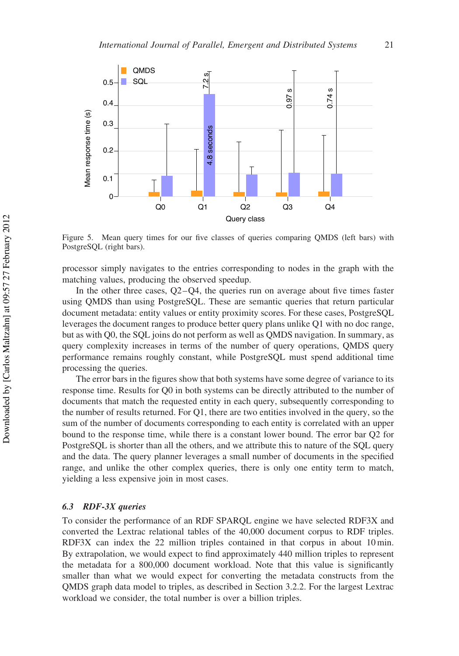

Figure 5. Mean query times for our five classes of queries comparing QMDS (left bars) with PostgreSQL (right bars).

processor simply navigates to the entries corresponding to nodes in the graph with the matching values, producing the observed speedup.

In the other three cases,  $Q2 - Q4$ , the queries run on average about five times faster using QMDS than using PostgreSQL. These are semantic queries that return particular document metadata: entity values or entity proximity scores. For these cases, PostgreSQL leverages the document ranges to produce better query plans unlike Q1 with no doc range, but as with Q0, the SQL joins do not perform as well as QMDS navigation. In summary, as query complexity increases in terms of the number of query operations, QMDS query performance remains roughly constant, while PostgreSQL must spend additional time processing the queries.

The error bars in the figures show that both systems have some degree of variance to its response time. Results for Q0 in both systems can be directly attributed to the number of documents that match the requested entity in each query, subsequently corresponding to the number of results returned. For Q1, there are two entities involved in the query, so the sum of the number of documents corresponding to each entity is correlated with an upper bound to the response time, while there is a constant lower bound. The error bar Q2 for PostgreSQL is shorter than all the others, and we attribute this to nature of the SQL query and the data. The query planner leverages a small number of documents in the specified range, and unlike the other complex queries, there is only one entity term to match, yielding a less expensive join in most cases.

#### 6.3 RDF-3X queries

To consider the performance of an RDF SPARQL engine we have selected RDF3X and converted the Lextrac relational tables of the 40,000 document corpus to RDF triples. RDF3X can index the 22 million triples contained in that corpus in about 10 min. By extrapolation, we would expect to find approximately 440 million triples to represent the metadata for a 800,000 document workload. Note that this value is significantly smaller than what we would expect for converting the metadata constructs from the QMDS graph data model to triples, as described in Section 3.2.2. For the largest Lextrac workload we consider, the total number is over a billion triples.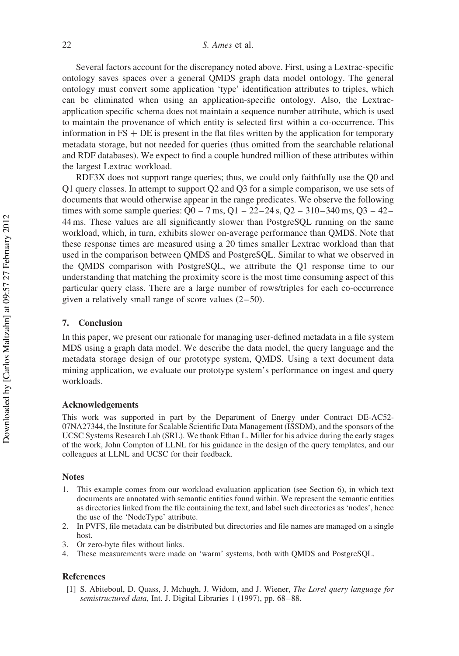Several factors account for the discrepancy noted above. First, using a Lextrac-specific ontology saves spaces over a general QMDS graph data model ontology. The general ontology must convert some application 'type' identification attributes to triples, which can be eliminated when using an application-specific ontology. Also, the Lextracapplication specific schema does not maintain a sequence number attribute, which is used to maintain the provenance of which entity is selected first within a co-occurrence. This information in  $FS + DE$  is present in the flat files written by the application for temporary metadata storage, but not needed for queries (thus omitted from the searchable relational and RDF databases). We expect to find a couple hundred million of these attributes within the largest Lextrac workload.

RDF3X does not support range queries; thus, we could only faithfully use the Q0 and Q1 query classes. In attempt to support Q2 and Q3 for a simple comparison, we use sets of documents that would otherwise appear in the range predicates. We observe the following times with some sample queries:  $Q_0 - 7$  ms,  $Q_1 - 22 - 24$  s,  $Q_2 - 310 - 340$  ms,  $Q_3 - 42 -$ 44 ms. These values are all significantly slower than PostgreSQL running on the same workload, which, in turn, exhibits slower on-average performance than QMDS. Note that these response times are measured using a 20 times smaller Lextrac workload than that used in the comparison between QMDS and PostgreSQL. Similar to what we observed in the QMDS comparison with PostgreSQL, we attribute the Q1 response time to our understanding that matching the proximity score is the most time consuming aspect of this particular query class. There are a large number of rows/triples for each co-occurrence given a relatively small range of score values  $(2-50)$ .

#### 7. Conclusion

In this paper, we present our rationale for managing user-defined metadata in a file system MDS using a graph data model. We describe the data model, the query language and the metadata storage design of our prototype system, QMDS. Using a text document data mining application, we evaluate our prototype system's performance on ingest and query workloads.

#### Acknowledgements

This work was supported in part by the Department of Energy under Contract DE-AC52- 07NA27344, the Institute for Scalable Scientific Data Management (ISSDM), and the sponsors of the UCSC Systems Research Lab (SRL). We thank Ethan L. Miller for his advice during the early stages of the work, John Compton of LLNL for his guidance in the design of the query templates, and our colleagues at LLNL and UCSC for their feedback.

#### Notes

- 1. This example comes from our workload evaluation application (see Section 6), in which text documents are annotated with semantic entities found within. We represent the semantic entities as directories linked from the file containing the text, and label such directories as 'nodes', hence the use of the 'NodeType' attribute.
- 2. In PVFS, file metadata can be distributed but directories and file names are managed on a single host.
- 3. Or zero-byte files without links.
- 4. These measurements were made on 'warm' systems, both with QMDS and PostgreSQL.

#### References

[1] S. Abiteboul, D. Quass, J. Mchugh, J. Widom, and J. Wiener, The Lorel query language for semistructured data, Int. J. Digital Libraries 1 (1997), pp. 68-88.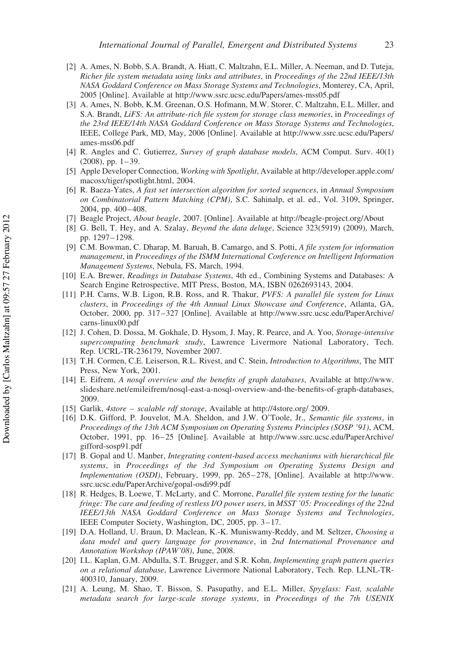- [2] A. Ames, N. Bobb, S.A. Brandt, A. Hiatt, C. Maltzahn, E.L. Miller, A. Neeman, and D. Tuteja, Richer file system metadata using links and attributes, in Proceedings of the 22nd IEEE/13th NASA Goddard Conference on Mass Storage Systems and Technologies, Monterey, CA, April, 2005 [Online]. Available at<http://www.ssrc.ucsc.edu/Papers/ames-mss05.pdf>
- [3] A. Ames, N. Bobb, K.M. Greenan, O.S. Hofmann, M.W. Storer, C. Maltzahn, E.L. Miller, and S.A. Brandt, LiFS: An attribute-rich file system for storage class memories, in Proceedings of the 23rd IEEE/14th NASA Goddard Conference on Mass Storage Systems and Technologies, IEEE, College Park, MD, May, 2006 [Online]. Available at [http://www.ssrc.ucsc.edu/Papers/](http://www.ssrc.ucsc.edu/Papers/ames-mss06.pdf) [ames-mss06.pdf](http://www.ssrc.ucsc.edu/Papers/ames-mss06.pdf)
- [4] R. Angles and C. Gutierrez, Survey of graph database models, ACM Comput. Surv. 40(1)  $(2008)$ , pp.  $1-39$ .
- [5] Apple Developer Connection, Working with Spotlight, Available at [http://developer.apple.com/](http://developer.apple.com/macosx/tiger/spotlight.html) [macosx/tiger/spotlight.html, 2004.](http://developer.apple.com/macosx/tiger/spotlight.html)
- [6] R. Baeza-Yates, A fast set intersection algorithm for sorted sequences, in Annual Symposium on Combinatorial Pattern Matching (CPM), S.C. Sahinalp, et al. ed., Vol. 3109, Springer, 2004, pp. 400-408.
- [7] Beagle Project, About beagle, 2007. [Online]. Available at<http://beagle-project.org/About>
- [8] G. Bell, T. Hey, and A. Szalay, Beyond the data deluge, Science 323(5919) (2009), March, pp. 1297– 1298.
- [9] C.M. Bowman, C. Dharap, M. Baruah, B. Camargo, and S. Potti, A file system for information management, in Proceedings of the ISMM International Conference on Intelligent Information Management Systems, Nebula, FS, March, 1994.
- [10] E.A. Brewer, Readings in Database Systems, 4th ed., Combining Systems and Databases: A Search Engine Retrospective, MIT Press, Boston, MA, ISBN 0262693143, 2004.
- [11] P.H. Carns, W.B. Ligon, R.B. Ross, and R. Thakur, PVFS: A parallel file system for Linux clusters, in Proceedings of the 4th Annual Linux Showcase and Conference, Atlanta, GA, October, 2000, pp. 317– 327 [Online]. Available at [http://www.ssrc.ucsc.edu/PaperArchive/](http://www.ssrc.ucsc.edu/PaperArchive/carns-linux00.pdf) [carns-linux00.pdf](http://www.ssrc.ucsc.edu/PaperArchive/carns-linux00.pdf)
- [12] J. Cohen, D. Dossa, M. Gokhale, D. Hysom, J. May, R. Pearce, and A. Yoo, Storage-intensive supercomputing benchmark study, Lawrence Livermore National Laboratory, Tech. Rep. UCRL-TR-236179, November 2007.
- [13] T.H. Cormen, C.E. Leiserson, R.L. Rivest, and C. Stein, Introduction to Algorithms, The MIT Press, New York, 2001.
- [14] E. Eifrem, A nosql overview and the benefits of graph databases, Available at [http://www.](http://www.slideshare.net/emileifrem/nosql-east-a-nosql-overview-and-the-benefits-of-graph-databases) [slideshare.net/emileifrem/nosql-east-a-nosql-overview-and-the-benefits-of-graph-databases,](http://www.slideshare.net/emileifrem/nosql-east-a-nosql-overview-and-the-benefits-of-graph-databases) [2009.](http://www.slideshare.net/emileifrem/nosql-east-a-nosql-overview-and-the-benefits-of-graph-databases)
- [15] Garlik, 4store scalable rdf storage, Available at [http://4store.org/ 2009.](http://4store.org/)
- [16] D.K. Gifford, P. Jouvelot, M.A. Sheldon, and J.W. O'Toole, Jr., Semantic file systems, in Proceedings of the 13th ACM Symposium on Operating Systems Principles (SOSP '91), ACM, October, 1991, pp. 16-25 [Online]. Available at [http://www.ssrc.ucsc.edu/PaperArchive/](http://www.ssrc.ucsc.edu/PaperArchive/gifford-sosp91.pdf) [gifford-sosp91.pdf](http://www.ssrc.ucsc.edu/PaperArchive/gifford-sosp91.pdf)
- [17] B. Gopal and U. Manber, Integrating content-based access mechanisms with hierarchical file systems, in Proceedings of the 3rd Symposium on Operating Systems Design and Implementation (OSDI), February, 1999, pp. 265– 278, [Online]. Available at [http://www.](http://www.ssrc.ucsc.edu/PaperArchive/gopal-osdi99.pdf) [ssrc.ucsc.edu/PaperArchive/gopal-osdi99.pdf](http://www.ssrc.ucsc.edu/PaperArchive/gopal-osdi99.pdf)
- [18] R. Hedges, B. Loewe, T. McLarty, and C. Morrone, Parallel file system testing for the lunatic fringe: The care and feeding of restless I/O power users, in MSST '05: Proceedings of the 22nd IEEE/13th NASA Goddard Conference on Mass Storage Systems and Technologies, IEEE Computer Society, Washington, DC, 2005, pp. 3 – 17.
- [19] D.A. Holland, U. Braun, D. Maclean, K.-K. Muniswamy-Reddy, and M. Seltzer, Choosing a data model and query language for provenance, in 2nd International Provenance and Annotation Workshop (IPAW'08), June, 2008.
- [20] I.L. Kaplan, G.M. Abdulla, S.T. Brugger, and S.R. Kohn, Implementing graph pattern queries on a relational database, Lawrence Livermore National Laboratory, Tech. Rep. LLNL-TR-400310, January, 2009.
- [21] A. Leung, M. Shao, T. Bisson, S. Pasupathy, and E.L. Miller, Spyglass: Fast, scalable metadata search for large-scale storage systems, in Proceedings of the 7th USENIX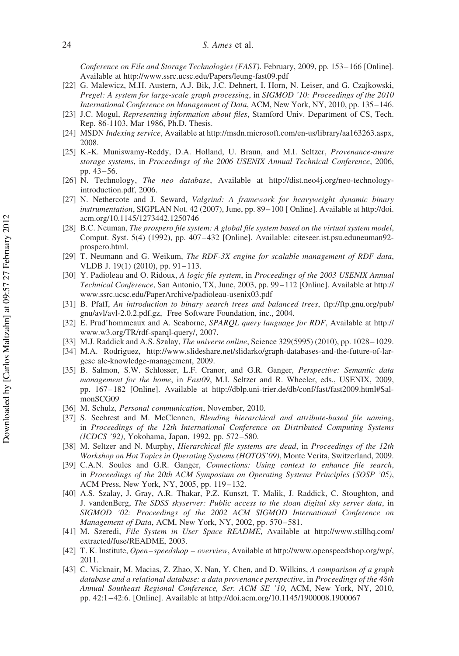Conference on File and Storage Technologies (FAST). February, 2009, pp. 153– 166 [Online]. Available at<http://www.ssrc.ucsc.edu/Papers/leung-fast09.pdf>

- [22] G. Malewicz, M.H. Austern, A.J. Bik, J.C. Dehnert, I. Horn, N. Leiser, and G. Czajkowski, Pregel: A system for large-scale graph processing, in SIGMOD '10: Proceedings of the 2010 International Conference on Management of Data, ACM, New York, NY, 2010, pp. 135–146.
- [23] J.C. Mogul, Representing information about files, Stamford Univ. Department of CS, Tech. Rep. 86-1103, Mar 1986, Ph.D. Thesis.
- [24] MSDN Indexing service, Available at [http://msdn.microsoft.com/en-us/library/aa163263.aspx,](http://msdn.microsoft.com/en-us/library/aa163263.aspx) [2008.](http://msdn.microsoft.com/en-us/library/aa163263.aspx)
- [25] K.-K. Muniswamy-Reddy, D.A. Holland, U. Braun, and M.I. Seltzer, *Provenance-aware* storage systems, in Proceedings of the 2006 USENIX Annual Technical Conference, 2006, pp. 43 –56.
- [26] N. Technology, The neo database, Available at [http://dist.neo4j.org/neo-technology](http://dist.neo4j.org/neo-technology-introduction.pdf)[introduction.pdf, 2006.](http://dist.neo4j.org/neo-technology-introduction.pdf)
- [27] N. Nethercote and J. Seward, Valgrind: A framework for heavyweight dynamic binary instrumentation, SIGPLAN Not. 42 (2007), June, pp. 89–100 [ Online]. Available at [http://doi.](http://doi.acm.org/10.1145/1273442.1250746) [acm.org/10.1145/1273442.1250746](http://doi.acm.org/10.1145/1273442.1250746)
- [28] B.C. Neuman, The prospero file system: A global file system based on the virtual system model, Comput. Syst. 5(4) (1992), pp. 407– 432 [Online]. Available: citeseer.ist.psu.eduneuman92 prospero.html.
- [29] T. Neumann and G. Weikum, The RDF-3X engine for scalable management of RDF data, VLDB J. 19(1) (2010), pp. 91 –113.
- [30] Y. Padioleau and O. Ridoux, A logic file system, in Proceedings of the 2003 USENIX Annual Technical Conference, San Antonio, TX, June, 2003, pp. 99 – 112 [Online]. Available at [http://](http://www.ssrc.ucsc.edu/PaperArchive/padioleau-usenix03.pdf) [www.ssrc.ucsc.edu/PaperArchive/padioleau-usenix03.pdf](http://www.ssrc.ucsc.edu/PaperArchive/padioleau-usenix03.pdf)
- [31] B. Pfaff, An introduction to binary search trees and balanced trees, [ftp://ftp.gnu.org/pub/](ftp://ftp.gnu.org/pub/gnu/avl/avl-2.0.2.pdf.gz) [gnu/avl/avl-2.0.2.pdf.gz, Free Software Foundation, inc., 2004.](ftp://ftp.gnu.org/pub/gnu/avl/avl-2.0.2.pdf.gz)
- [32] E. Prud'hommeaux and A. Seaborne, SPARQL query language for RDF, Available at [http://](http://www.w3.org/TR/rdf-sparql-query/) [www.w3.org/TR/rdf-sparql-query/, 2007.](http://www.w3.org/TR/rdf-sparql-query/)
- [33] M.J. Raddick and A.S. Szalay, *The universe online*, Science 329(5995) (2010), pp. 1028-1029.
- [34] M.A. Rodriguez, http://www.slideshare.net/slidarko/graph-databases-and-the-future-of-largesc ale-knowledge-management, 2009.
- [35] B. Salmon, S.W. Schlosser, L.F. Cranor, and G.R. Ganger, Perspective: Semantic data management for the home, in Fast09, M.I. Seltzer and R. Wheeler, eds., USENIX, 2009, pp. 167– 182 [Online]. Available at [http://dblp.uni-trier.de/db/conf/fast/fast2009.html#Sal](http://dblp.uni-trier.de/db/conf/fast/fast2009.html#SalmonSCG09)[monSCG09](http://dblp.uni-trier.de/db/conf/fast/fast2009.html#SalmonSCG09)
- [36] M. Schulz, Personal communication, November, 2010.
- [37] S. Sechrest and M. McClennen, Blending hierarchical and attribute-based file naming, in Proceedings of the 12th International Conference on Distributed Computing Systems (ICDCS '92), Yokohama, Japan, 1992, pp. 572–580.
- [38] M. Seltzer and N. Murphy, *Hierarchical file systems are dead*, in *Proceedings of the 12th* Workshop on Hot Topics in Operating Systems (HOTOS'09), Monte Verita, Switzerland, 2009.
- [39] C.A.N. Soules and G.R. Ganger, Connections: Using context to enhance file search, in Proceedings of the 20th ACM Symposium on Operating Systems Principles (SOSP '05), ACM Press, New York, NY, 2005, pp. 119– 132.
- [40] A.S. Szalay, J. Gray, A.R. Thakar, P.Z. Kunszt, T. Malik, J. Raddick, C. Stoughton, and J. vandenBerg, The SDSS skyserver: Public access to the sloan digital sky server data, in SIGMOD '02: Proceedings of the 2002 ACM SIGMOD International Conference on Management of Data, ACM, New York, NY, 2002, pp. 570-581.
- [41] M. Szeredi, File System in User Space README, Available at [http://www.stillhq.com/](http://www.stillhq.com/extracted/fuse/README) [extracted/fuse/README, 2003.](http://www.stillhq.com/extracted/fuse/README)
- [42] T. K. Institute, Open –speedshop overview, Available at [http://www.openspeedshop.org/wp/,](http://www.openspeedshop.org/wp/) [2011.](http://www.openspeedshop.org/wp/)
- [43] C. Vicknair, M. Macias, Z. Zhao, X. Nan, Y. Chen, and D. Wilkins, A comparison of a graph database and a relational database: a data provenance perspective, in Proceedings of the 48th Annual Southeast Regional Conference, Ser. ACM SE '10, ACM, New York, NY, 2010, pp. 42:1– 42:6. [Online]. Available at<http://doi.acm.org/10.1145/1900008.1900067>